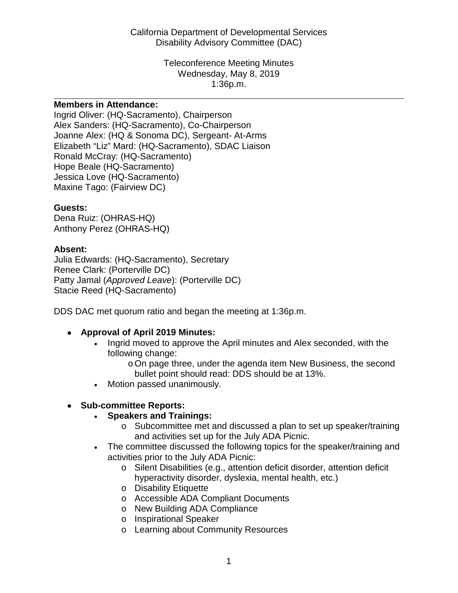Disability Advisory Committee (DAC) California Department of Developmental Services

> Wednesday, May 8, 2019 1:36p.m. Teleconference Meeting Minutes

#### **Members in Attendance:**

 Joanne Alex: (HQ & Sonoma DC), Sergeant- At-Arms Ingrid Oliver: (HQ-Sacramento), Chairperson Alex Sanders: (HQ-Sacramento), Co-Chairperson Elizabeth "Liz" Mard: (HQ-Sacramento), SDAC Liaison Ronald McCray: (HQ-Sacramento) Hope Beale (HQ-Sacramento) Jessica Love (HQ-Sacramento) Maxine Tago: (Fairview DC)

### **Guests:**

Dena Ruiz: (OHRAS-HQ) Anthony Perez (OHRAS-HQ)

### **Absent:**

Julia Edwards: (HQ-Sacramento), Secretary Renee Clark: (Porterville DC) Patty Jamal (*Approved Leave*): (Porterville DC) Stacie Reed (HQ-Sacramento)

DDS DAC met quorum ratio and began the meeting at 1:36p.m.

- **Approval of April 2019 Minutes:** 
	- • Ingrid moved to approve the April minutes and Alex seconded, with the following change:
		- bullet point should read: DDS should be at 13%. oOn page three, under the agenda item New Business, the second
	- Motion passed unanimously.

## • **Sub-committee Reports:**

- **Speakers and Trainings:** 
	- o Subcommittee met and discussed a plan to set up speaker/training and activities set up for the July ADA Picnic.
- The committee discussed the following topics for the speaker/training and activities prior to the July ADA Picnic:
	- o Silent Disabilities (e.g., attention deficit disorder, attention deficit hyperactivity disorder, dyslexia, mental health, etc.)
	- o Disability Etiquette
	- o Accessible ADA Compliant Documents
	- o New Building ADA Compliance
	- o Inspirational Speaker
	- o Learning about Community Resources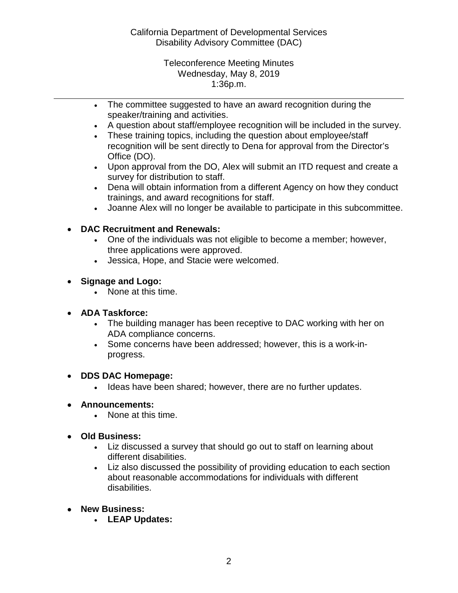Wednesday, May 8, 2019 1:36p.m. Teleconference Meeting Minutes

- The committee suggested to have an award recognition during the speaker/training and activities.
- A question about staff/employee recognition will be included in the survey.

- These training topics, including the question about employee/staff recognition will be sent directly to Dena for approval from the Director's Office (DO).
- survey for distribution to staff. • Upon approval from the DO, Alex will submit an ITD request and create a
- trainings, and award recognitions for staff. • Dena will obtain information from a different Agency on how they conduct
- Joanne Alex will no longer be available to participate in this subcommittee.

# • **DAC Recruitment and Renewals:**

- One of the individuals was not eligible to become a member; however, three applications were approved.
- Jessica, Hope, and Stacie were welcomed.
- **Signage and Logo:** 
	- None at this time.
- **ADA Taskforce:** 
	- ADA compliance concerns. • The building manager has been receptive to DAC working with her on
	- Some concerns have been addressed; however, this is a work-inprogress.
- **DDS DAC Homepage:** 
	- Ideas have been shared; however, there are no further updates.
- **Announcements:** 
	- None at this time.
- **Old Business:** 
	- • Liz discussed a survey that should go out to staff on learning about different disabilities.
	- Liz also discussed the possibility of providing education to each section about reasonable accommodations for individuals with different disabilities.
- **New Business:** 
	- **LEAP Updates:**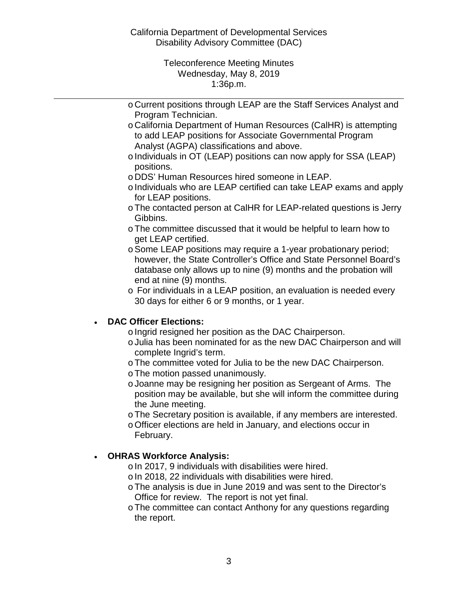Disability Advisory Committee (DAC) California Department of Developmental Services

> Wednesday, May 8, 2019 1:36p.m. Teleconference Meeting Minutes

o Current positions through LEAP are the Staff Services Analyst and Program Technician.

- Analyst (AGPA) classifications and above. o California Department of Human Resources (CalHR) is attempting to add LEAP positions for Associate Governmental Program
- o Individuals in OT (LEAP) positions can now apply for SSA (LEAP) positions.
- o DDS' Human Resources hired someone in LEAP.
- o Individuals who are LEAP certified can take LEAP exams and apply for LEAP positions.
- oThe contacted person at CalHR for LEAP-related questions is Jerry Gibbins.
- oThe committee discussed that it would be helpful to learn how to get LEAP certified.
- database only allows up to nine (9) months and the probation will oSome LEAP positions may require a 1-year probationary period; however, the State Controller's Office and State Personnel Board's end at nine (9) months.
- o For individuals in a LEAP position, an evaluation is needed every 30 days for either 6 or 9 months, or 1 year.

## • **DAC Officer Elections:**

- $\circ$  Ingrid resigned her position as the DAC Chairperson.
- oJulia has been nominated for as the new DAC Chairperson and will complete Ingrid's term.
- oThe committee voted for Julia to be the new DAC Chairperson.
- oThe motion passed unanimously.
- oJoanne may be resigning her position as Sergeant of Arms. The position may be available, but she will inform the committee during the June meeting.
- oThe Secretary position is available, if any members are interested.
- oOfficer elections are held in January, and elections occur in February.

## • **OHRAS Workforce Analysis:**

- $\circ$  In 2017, 9 individuals with disabilities were hired.
- o In 2018, 22 individuals with disabilities were hired.
- Office for review. The report is not yet final. oThe analysis is due in June 2019 and was sent to the Director's
- oThe committee can contact Anthony for any questions regarding the report.